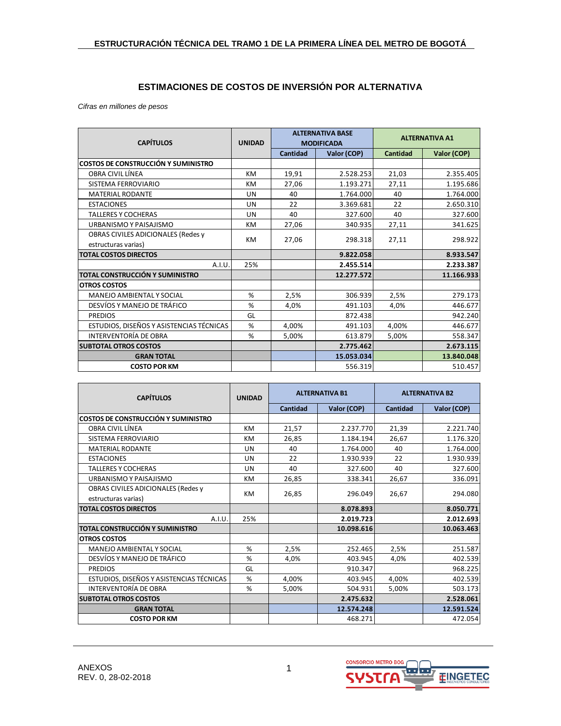## **ESTIMACIONES DE COSTOS DE INVERSIÓN POR ALTERNATIVA**

*Cifras en millones de pesos*

| <b>CAPÍTULOS</b>                           | <b>UNIDAD</b> | <b>ALTERNATIVA BASE</b> |             | <b>ALTERNATIVA A1</b> |             |
|--------------------------------------------|---------------|-------------------------|-------------|-----------------------|-------------|
|                                            |               | <b>MODIFICADA</b>       |             |                       |             |
|                                            |               | Cantidad                | Valor (COP) | <b>Cantidad</b>       | Valor (COP) |
| <b>COSTOS DE CONSTRUCCIÓN Y SUMINISTRO</b> |               |                         |             |                       |             |
| OBRA CIVIL LÍNEA                           | KM            | 19,91                   | 2.528.253   | 21,03                 | 2.355.405   |
| SISTEMA FERROVIARIO                        | <b>KM</b>     | 27,06                   | 1.193.271   | 27,11                 | 1.195.686   |
| <b>MATERIAL RODANTE</b>                    | <b>UN</b>     | 40                      | 1.764.000   | 40                    | 1.764.000   |
| <b>ESTACIONES</b>                          | UN            | 22                      | 3.369.681   | 22                    | 2.650.310   |
| <b>TALLERES Y COCHERAS</b>                 | UN            | 40                      | 327.600     | 40                    | 327.600     |
| URBANISMO Y PAISAJISMO                     | <b>KM</b>     | 27,06                   | 340.935     | 27,11                 | 341.625     |
| OBRAS CIVILES ADICIONALES (Redes y         | KM            | 27,06                   | 298.318     | 27,11                 | 298.922     |
| estructuras varias)                        |               |                         |             |                       |             |
| <b>TOTAL COSTOS DIRECTOS</b>               |               |                         | 9.822.058   |                       | 8.933.547   |
| A.I.U                                      | 25%           |                         | 2.455.514   |                       | 2.233.387   |
| TOTAL CONSTRUCCIÓN Y SUMINISTRO            |               |                         | 12.277.572  |                       | 11.166.933  |
| <b>OTROS COSTOS</b>                        |               |                         |             |                       |             |
| <b>MANEJO AMBIENTAL Y SOCIAL</b>           | %             | 2,5%                    | 306.939     | 2,5%                  | 279.173     |
| DESVÍOS Y MANEJO DE TRÁFICO                | %             | 4,0%                    | 491.103     | 4,0%                  | 446.677     |
| <b>PREDIOS</b>                             | GL            |                         | 872.438     |                       | 942.240     |
| ESTUDIOS, DISEÑOS Y ASISTENCIAS TÉCNICAS   | %             | 4,00%                   | 491.103     | 4,00%                 | 446.677     |
| INTERVENTORÍA DE OBRA                      | %             | 5,00%                   | 613.879     | 5.00%                 | 558.347     |
| <b>SUBTOTAL OTROS COSTOS</b>               |               |                         | 2.775.462   |                       | 2.673.115   |
| <b>GRAN TOTAL</b>                          |               |                         | 15.053.034  |                       | 13.840.048  |
| <b>COSTO POR KM</b>                        |               |                         | 556.319     |                       | 510.457     |

| <b>CAPÍTULOS</b>                           | <b>UNIDAD</b> | <b>ALTERNATIVA B1</b> |             | <b>ALTERNATIVA B2</b> |             |
|--------------------------------------------|---------------|-----------------------|-------------|-----------------------|-------------|
|                                            |               | Cantidad              | Valor (COP) | Cantidad              | Valor (COP) |
| <b>COSTOS DE CONSTRUCCIÓN Y SUMINISTRO</b> |               |                       |             |                       |             |
| OBRA CIVIL LÍNEA                           | KM            | 21,57                 | 2.237.770   | 21,39                 | 2.221.740   |
| SISTEMA FERROVIARIO                        | KM            | 26,85                 | 1.184.194   | 26,67                 | 1.176.320   |
| <b>MATERIAL RODANTE</b>                    | UN            | 40                    | 1.764.000   | 40                    | 1.764.000   |
| <b>ESTACIONES</b>                          | UN            | 22                    | 1.930.939   | 22                    | 1.930.939   |
| <b>TALLERES Y COCHERAS</b>                 | UN            | 40                    | 327.600     | 40                    | 327.600     |
| URBANISMO Y PAISAJISMO                     | KM            | 26,85                 | 338.341     | 26,67                 | 336.091     |
| OBRAS CIVILES ADICIONALES (Redes y         |               | 26,85                 | 296.049     | 26,67                 | 294.080     |
| estructuras varias)                        | <b>KM</b>     |                       |             |                       |             |
| <b>TOTAL COSTOS DIRECTOS</b>               |               |                       | 8.078.893   |                       | 8.050.771   |
| A.I.U                                      | 25%           |                       | 2.019.723   |                       | 2.012.693   |
| TOTAL CONSTRUCCIÓN Y SUMINISTRO            |               |                       | 10.098.616  |                       | 10.063.463  |
| <b>OTROS COSTOS</b>                        |               |                       |             |                       |             |
| <b>MANEJO AMBIENTAL Y SOCIAL</b>           | %             | 2,5%                  | 252.465     | 2,5%                  | 251.587     |
| DESVÍOS Y MANEJO DE TRÁFICO                | %             | 4,0%                  | 403.945     | 4,0%                  | 402.539     |
| <b>PREDIOS</b>                             | GL            |                       | 910.347     |                       | 968.225     |
| ESTUDIOS, DISEÑOS Y ASISTENCIAS TÉCNICAS   | %             | 4,00%                 | 403.945     | 4,00%                 | 402.539     |
| INTERVENTORÍA DE OBRA                      | %             | 5,00%                 | 504.931     | 5.00%                 | 503.173     |
| <b>SUBTOTAL OTROS COSTOS</b>               |               |                       | 2.475.632   |                       | 2.528.061   |
| <b>GRAN TOTAL</b>                          |               |                       | 12.574.248  |                       | 12.591.524  |
| <b>COSTO POR KM</b>                        |               |                       | 468.271     |                       | 472.054     |